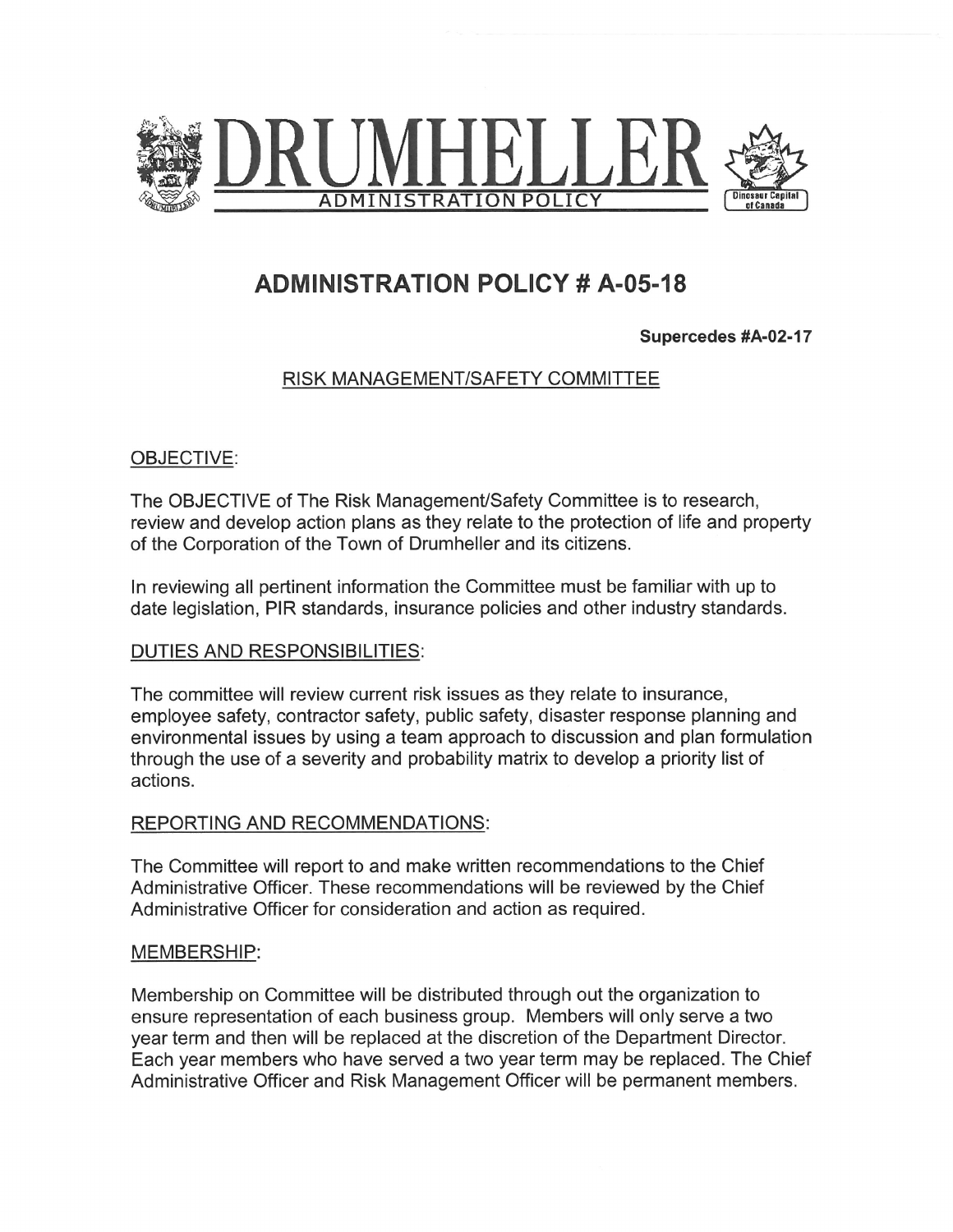

# ADMINISTRATION POLICY # A-05-18

Supercedes #A-02-17

## RISK MANAGEMENT/SAFETY COMMITTEE

### OBJECTIVE:

The OBJECTIVE of The Risk Management/Safety Committee is to research, review and develop action plans as they relate to the protection of life and property of the Corporation of the Town of Drumheller and its citizens.

In reviewing all pertinent information the Committee must be familiar with up to date legislation, PIR standards, insurance policies and other industry standards.

#### DUTIES AND RESPONSIBILITIES:

The committee will review current risk issues as they relate to insurance, employee safety, contractor safety, public safety, disaster response planning and environmental issues by using a team approach to discussion and plan formulation through the use of a severity and probability matrix to develop a priority list of actions.

#### REPORTING AND RECOMMENDATIONS:

The Committee will report to and make written recommendations to the Chief Administrative Officer. These recommendations will be reviewed by the Chief Administrative Officer for consideration and action as required.

#### MEMBERSHIP:

Membership on Committee will be distributed through out the organization to ensure representation of each business group. Members will only serve a two year term and then will be replaced at the discretion of the Department Director. Each year members who have served a two year term may be replaced. The Chief Administrative Officer and Risk Management Officer will be permanent members.